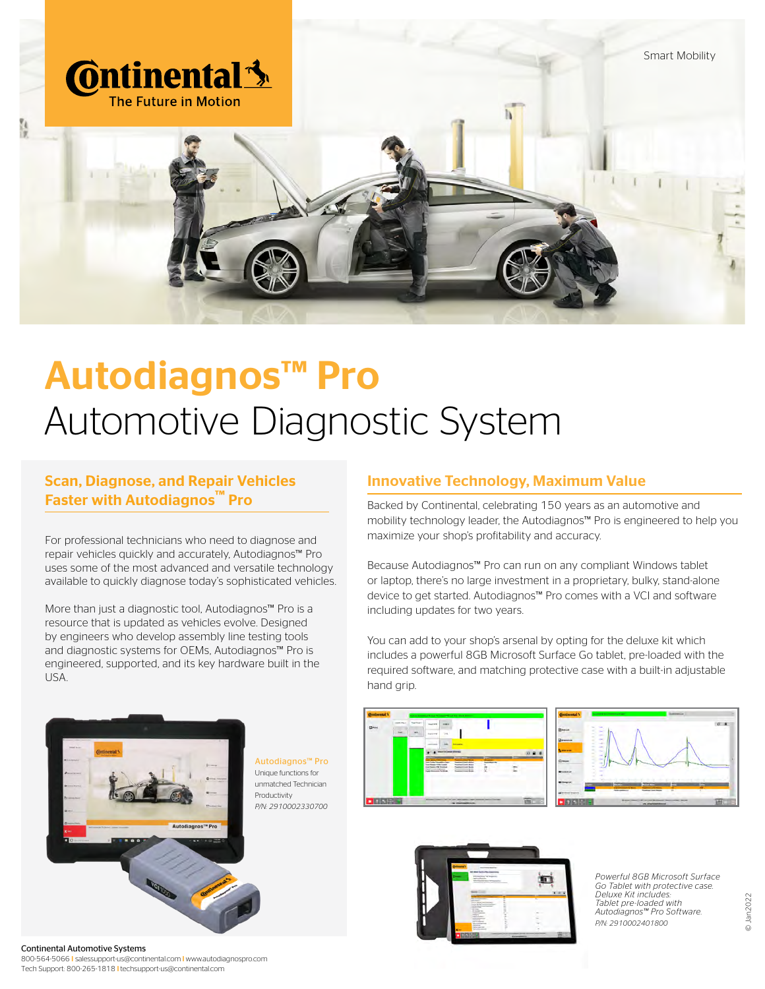

# Autodiagnos™ Pro Automotive Diagnostic System

#### Scan, Diagnose, and Repair Vehicles Faster with Autodiagnos™ Pro

For professional technicians who need to diagnose and repair vehicles quickly and accurately, Autodiagnos™ Pro uses some of the most advanced and versatile technology available to quickly diagnose today's sophisticated vehicles.

More than just a diagnostic tool, Autodiagnos™ Pro is a resource that is updated as vehicles evolve. Designed by engineers who develop assembly line testing tools and diagnostic systems for OEMs, Autodiagnos™ Pro is engineered, supported, and its key hardware built in the USA.



Continental Automotive Systems 800-564-5066 l salessupport-us@continental.com l www.autodiagnospro.com Tech Support: 800-265-1818 l techsupport-us@continental.com

#### Innovative Technology, Maximum Value

Backed by Continental, celebrating 150 years as an automotive and mobility technology leader, the Autodiagnos™ Pro is engineered to help you maximize your shop's profitability and accuracy.

Because Autodiagnos™ Pro can run on any compliant Windows tablet or laptop, there's no large investment in a proprietary, bulky, stand-alone device to get started. Autodiagnos™ Pro comes with a VCI and software including updates for two years.

You can add to your shop's arsenal by opting for the deluxe kit which includes a powerful 8GB Microsoft Surface Go tablet, pre-loaded with the required software, and matching protective case with a built-in adjustable hand grip.







*Powerful 8GB Microsoft Surface Go Tablet with protective case. Deluxe Kit includes: Tablet pre-loaded with Autodiagnos™ Pro Software. P/N: 2910002401800*